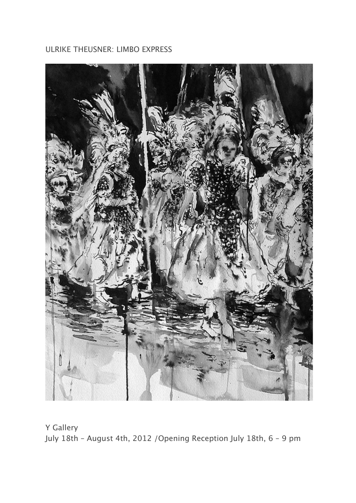## ULRIKE THEUSNER: LIMBO EXPRESS



Y Gallery July 18th – August 4th, 2012 /Opening Reception July 18th, 6 – 9 pm